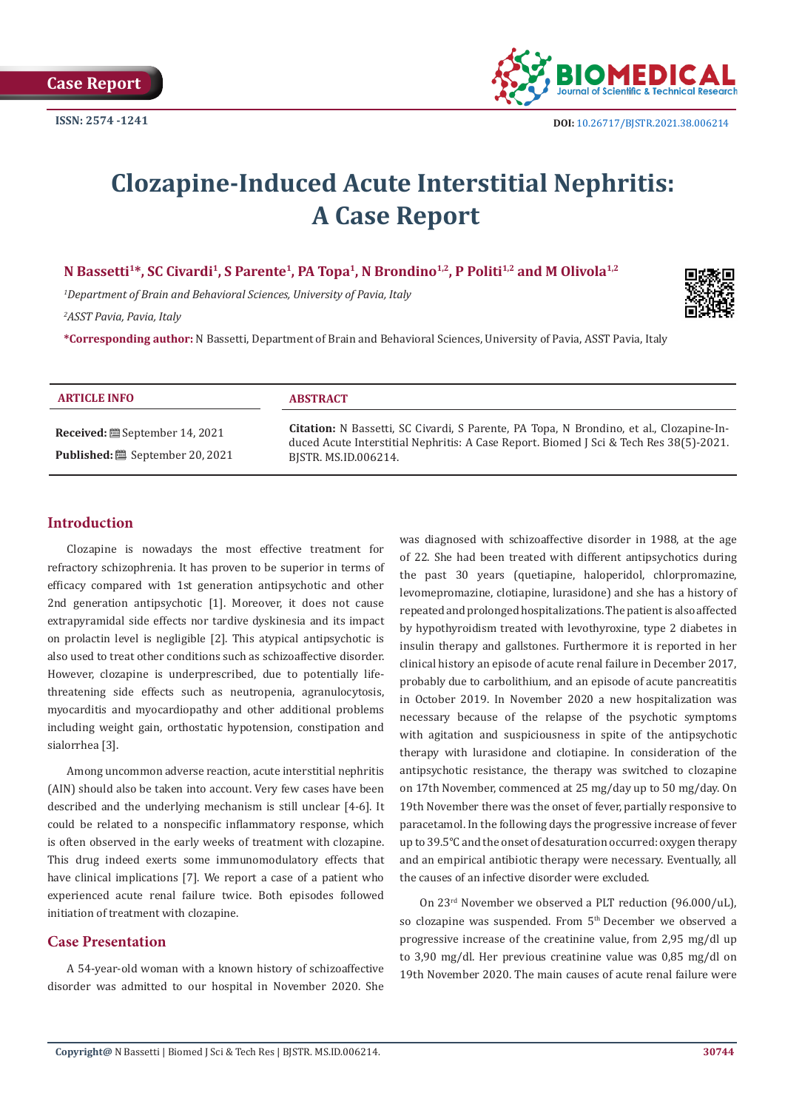

# **Clozapine-Induced Acute Interstitial Nephritis: A Case Report**

N Bassetti<sup>1\*</sup>, SC Civardi<sup>1</sup>, S Parente<sup>1</sup>, PA Topa<sup>1</sup>, N Brondino<sup>1,2</sup>, P Politi<sup>1,2</sup> and M Olivola<sup>1,2</sup>

*1 Department of Brain and Behavioral Sciences, University of Pavia, Italy 2 ASST Pavia, Pavia, Italy*

**\*Corresponding author:** N Bassetti, Department of Brain and Behavioral Sciences, University of Pavia, ASST Pavia, Italy

| <b>ARTICLE INFO</b>                    | <b>ABSTRACT</b>                                                                                                                                                                                           |
|----------------------------------------|-----------------------------------------------------------------------------------------------------------------------------------------------------------------------------------------------------------|
| <b>Received:</b> ■ September 14, 2021  | Citation: N Bassetti, SC Civardi, S Parente, PA Topa, N Brondino, et al., Clozapine-In-<br>duced Acute Interstitial Nephritis: A Case Report. Biomed J Sci & Tech Res 38(5)-2021.<br>BISTR. MS.ID.006214. |
| <b>Published: i</b> September 20, 2021 |                                                                                                                                                                                                           |

# **Introduction**

Clozapine is nowadays the most effective treatment for refractory schizophrenia. It has proven to be superior in terms of efficacy compared with 1st generation antipsychotic and other 2nd generation antipsychotic [1]. Moreover, it does not cause extrapyramidal side effects nor tardive dyskinesia and its impact on prolactin level is negligible [2]. This atypical antipsychotic is also used to treat other conditions such as schizoaffective disorder. However, clozapine is underprescribed, due to potentially lifethreatening side effects such as neutropenia, agranulocytosis, myocarditis and myocardiopathy and other additional problems including weight gain, orthostatic hypotension, constipation and sialorrhea [3].

Among uncommon adverse reaction, acute interstitial nephritis (AIN) should also be taken into account. Very few cases have been described and the underlying mechanism is still unclear [4-6]. It could be related to a nonspecific inflammatory response, which is often observed in the early weeks of treatment with clozapine. This drug indeed exerts some immunomodulatory effects that have clinical implications [7]. We report a case of a patient who experienced acute renal failure twice. Both episodes followed initiation of treatment with clozapine.

## **Case Presentation**

A 54-year-old woman with a known history of schizoaffective disorder was admitted to our hospital in November 2020. She

was diagnosed with schizoaffective disorder in 1988, at the age of 22. She had been treated with different antipsychotics during the past 30 years (quetiapine, haloperidol, chlorpromazine, levomepromazine, clotiapine, lurasidone) and she has a history of repeated and prolonged hospitalizations. The patient is also affected by hypothyroidism treated with levothyroxine, type 2 diabetes in insulin therapy and gallstones. Furthermore it is reported in her clinical history an episode of acute renal failure in December 2017, probably due to carbolithium, and an episode of acute pancreatitis in October 2019. In November 2020 a new hospitalization was necessary because of the relapse of the psychotic symptoms with agitation and suspiciousness in spite of the antipsychotic therapy with lurasidone and clotiapine. In consideration of the antipsychotic resistance, the therapy was switched to clozapine on 17th November, commenced at 25 mg/day up to 50 mg/day. On 19th November there was the onset of fever, partially responsive to paracetamol. In the following days the progressive increase of fever up to 39.5°C and the onset of desaturation occurred: oxygen therapy and an empirical antibiotic therapy were necessary. Eventually, all the causes of an infective disorder were excluded.

On 23rd November we observed a PLT reduction (96.000/uL), so clozapine was suspended. From 5<sup>th</sup> December we observed a progressive increase of the creatinine value, from 2,95 mg/dl up to 3,90 mg/dl. Her previous creatinine value was 0,85 mg/dl on 19th November 2020. The main causes of acute renal failure were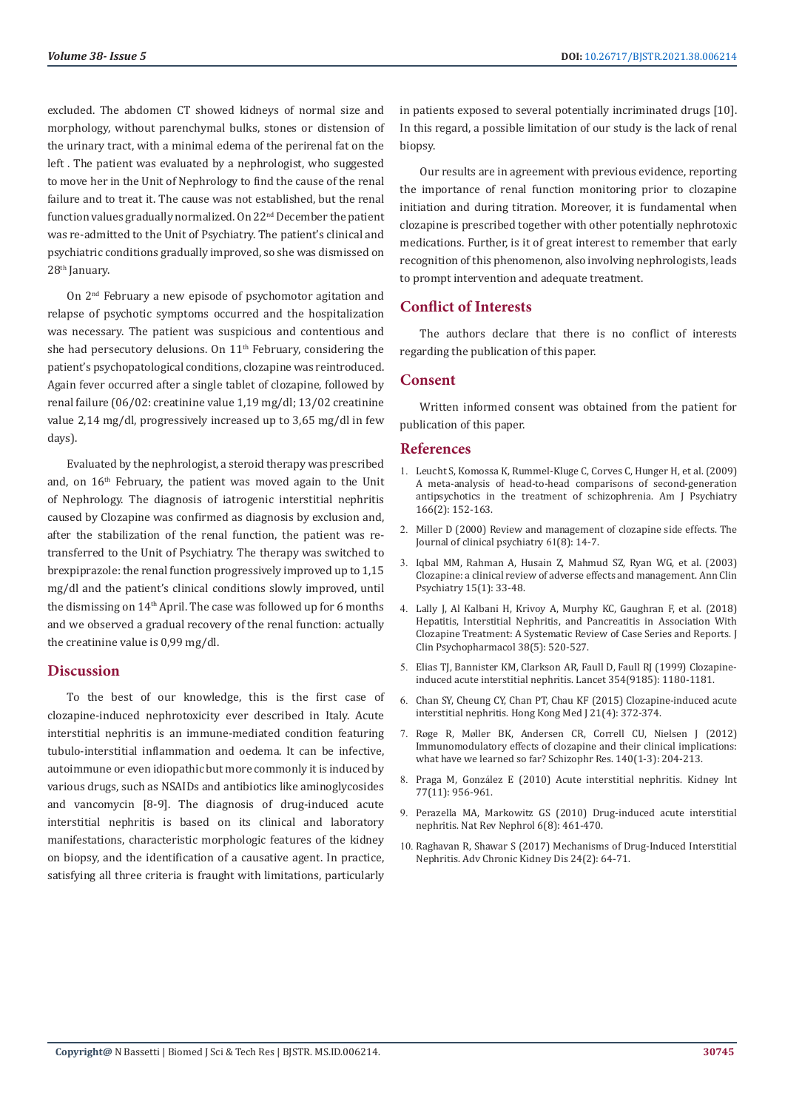excluded. The abdomen CT showed kidneys of normal size and morphology, without parenchymal bulks, stones or distension of the urinary tract, with a minimal edema of the perirenal fat on the left . The patient was evaluated by a nephrologist, who suggested to move her in the Unit of Nephrology to find the cause of the renal failure and to treat it. The cause was not established, but the renal function values gradually normalized. On 22nd December the patient was re-admitted to the Unit of Psychiatry. The patient's clinical and psychiatric conditions gradually improved, so she was dismissed on 28<sup>th</sup> January.

On 2nd February a new episode of psychomotor agitation and relapse of psychotic symptoms occurred and the hospitalization was necessary. The patient was suspicious and contentious and she had persecutory delusions. On 11<sup>th</sup> February, considering the patient's psychopatological conditions, clozapine was reintroduced. Again fever occurred after a single tablet of clozapine, followed by renal failure (06/02: creatinine value 1,19 mg/dl; 13/02 creatinine value 2,14 mg/dl, progressively increased up to 3,65 mg/dl in few days).

Evaluated by the nephrologist, a steroid therapy was prescribed and, on 16<sup>th</sup> February, the patient was moved again to the Unit of Nephrology. The diagnosis of iatrogenic interstitial nephritis caused by Clozapine was confirmed as diagnosis by exclusion and, after the stabilization of the renal function, the patient was retransferred to the Unit of Psychiatry. The therapy was switched to brexpiprazole: the renal function progressively improved up to 1,15 mg/dl and the patient's clinical conditions slowly improved, until the dismissing on 14th April. The case was followed up for 6 months and we observed a gradual recovery of the renal function: actually the creatinine value is 0,99 mg/dl.

## **Discussion**

To the best of our knowledge, this is the first case of clozapine-induced nephrotoxicity ever described in Italy. Acute interstitial nephritis is an immune-mediated condition featuring tubulo-interstitial inflammation and oedema. It can be infective, autoimmune or even idiopathic but more commonly it is induced by various drugs, such as NSAIDs and antibiotics like aminoglycosides and vancomycin [8-9]. The diagnosis of drug-induced acute interstitial nephritis is based on its clinical and laboratory manifestations, characteristic morphologic features of the kidney on biopsy, and the identification of a causative agent. In practice, satisfying all three criteria is fraught with limitations, particularly

in patients exposed to several potentially incriminated drugs [10]. In this regard, a possible limitation of our study is the lack of renal biopsy.

Our results are in agreement with previous evidence, reporting the importance of renal function monitoring prior to clozapine initiation and during titration. Moreover, it is fundamental when clozapine is prescribed together with other potentially nephrotoxic medications. Further, is it of great interest to remember that early recognition of this phenomenon, also involving nephrologists, leads to prompt intervention and adequate treatment.

# **Conflict of Interests**

The authors declare that there is no conflict of interests regarding the publication of this paper.

# **Consent**

Written informed consent was obtained from the patient for publication of this paper.

## **References**

- 1. [Leucht S, Komossa K, Rummel-Kluge C, Corves C, Hunger H, et al. \(2009\)](https://pubmed.ncbi.nlm.nih.gov/19015230/) [A meta-analysis of head-to-head comparisons of second-generation](https://pubmed.ncbi.nlm.nih.gov/19015230/) [antipsychotics in the treatment of schizophrenia. Am J Psychiatry](https://pubmed.ncbi.nlm.nih.gov/19015230/) [166\(2\): 152-163.](https://pubmed.ncbi.nlm.nih.gov/19015230/)
- 2. [Miller D \(2000\) Review and management of clozapine side effects. The](https://pubmed.ncbi.nlm.nih.gov/10811238/) [Journal of clinical psychiatry](https://pubmed.ncbi.nlm.nih.gov/10811238/) 61(8): 14-7.
- 3. [Iqbal MM, Rahman A, Husain Z, Mahmud SZ, Ryan WG, et al. \(2003\)](https://pubmed.ncbi.nlm.nih.gov/12839431/) [Clozapine: a clinical review of adverse effects and management. Ann Clin](https://pubmed.ncbi.nlm.nih.gov/12839431/) [Psychiatry 15\(1\): 33-48.](https://pubmed.ncbi.nlm.nih.gov/12839431/)
- 4. [Lally J, Al Kalbani H, Krivoy A, Murphy KC, Gaughran F, et al. \(2018\)](https://pubmed.ncbi.nlm.nih.gov/30059436/) [Hepatitis, Interstitial Nephritis, and Pancreatitis in Association With](https://pubmed.ncbi.nlm.nih.gov/30059436/) [Clozapine Treatment: A Systematic Review of Case Series and Reports. J](https://pubmed.ncbi.nlm.nih.gov/30059436/) [Clin Psychopharmacol 38\(5\): 520-527.](https://pubmed.ncbi.nlm.nih.gov/30059436/)
- 5. [Elias TJ, Bannister KM, Clarkson AR, Faull D, Faull RJ \(1999\) Clozapine](https://pubmed.ncbi.nlm.nih.gov/10513719/)[induced acute interstitial nephritis. Lancet 354\(9185\): 1180-1181.](https://pubmed.ncbi.nlm.nih.gov/10513719/)
- 6. [Chan SY, Cheung CY, Chan PT, Chau KF \(2015\) Clozapine-induced acute](https://pubmed.ncbi.nlm.nih.gov/26238137/) [interstitial nephritis. Hong Kong Med J 21\(4\): 372-374.](https://pubmed.ncbi.nlm.nih.gov/26238137/)
- 7. Røge R, Mø[ller BK, Andersen CR, Correll CU, Nielsen J \(2012\)](https://pubmed.ncbi.nlm.nih.gov/22831769/) [Immunomodulatory effects of clozapine and their clinical implications:](https://pubmed.ncbi.nlm.nih.gov/22831769/) [what have we learned so far? Schizophr Res. 140\(1-3\): 204-213.](https://pubmed.ncbi.nlm.nih.gov/22831769/)
- 8. Praga M, Gonzá[lez E \(2010\) Acute interstitial nephritis. Kidney Int](https://pubmed.ncbi.nlm.nih.gov/20336051/) [77\(11\): 956-961.](https://pubmed.ncbi.nlm.nih.gov/20336051/)
- 9. [Perazella MA, Markowitz GS \(2010\) Drug-induced acute interstitial](https://pubmed.ncbi.nlm.nih.gov/20517290/) [nephritis. Nat Rev Nephrol 6\(8\): 461-470.](https://pubmed.ncbi.nlm.nih.gov/20517290/)
- 10. [Raghavan R, Shawar S \(2017\) Mechanisms of Drug-Induced Interstitial](https://pubmed.ncbi.nlm.nih.gov/28284381/) [Nephritis. Adv Chronic Kidney Dis 24\(2\): 64-71.](https://pubmed.ncbi.nlm.nih.gov/28284381/)